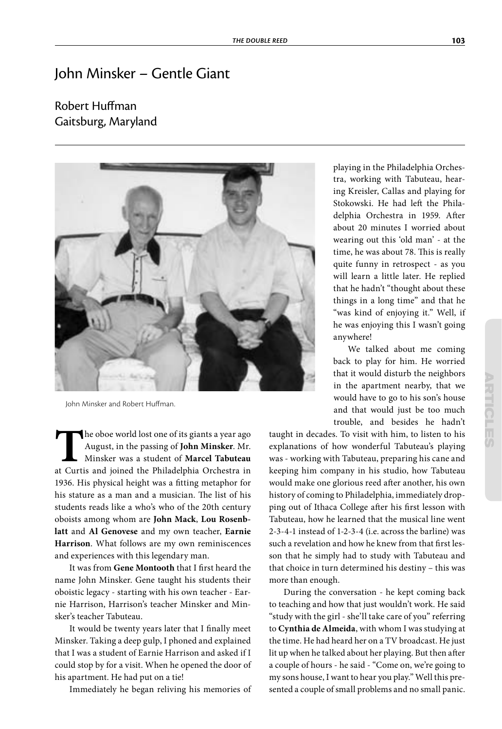## John Minsker – Gentle Giant

## Robert Huffman Gaitsburg, Maryland



John Minsker and Robert Huffman.

The oboe world lost one of its giants a year ago August, in the passing of **John Minsker**. Mr. Minsker was a student of **Marcel Tabuteau** at Curtis and joined the Philadelphia Orchestra in August, in the passing of **John Minsker**. Mr. Minsker was a student of **Marcel Tabuteau** 1936. His physical height was a fitting metaphor for his stature as a man and a musician. The list of his students reads like a who's who of the 20th century oboists among whom are **John Mack**, **Lou Rosenblatt** and **Al Genovese** and my own teacher, **Earnie Harrison**. What follows are my own reminiscences and experiences with this legendary man.

It was from Gene Montooth that I first heard the name John Minsker. Gene taught his students their oboistic legacy - starting with his own teacher - Earnie Harrison, Harrison's teacher Minsker and Minsker's teacher Tabuteau.

It would be twenty years later that I finally meet Minsker. Taking a deep gulp, I phoned and explained that I was a student of Earnie Harrison and asked if I could stop by for a visit. When he opened the door of his apartment. He had put on a tie!

Immediately he began reliving his memories of

playing in the Philadelphia Orchestra, working with Tabuteau, hearing Kreisler, Callas and playing for Stokowski. He had left the Philadelphia Orchestra in 1959. After about 20 minutes I worried about wearing out this 'old man' - at the time, he was about 78. This is really quite funny in retrospect - as you will learn a little later. He replied that he hadn't "thought about these things in a long time" and that he "was kind of enjoying it." Well, if he was enjoying this I wasn't going anywhere!

We talked about me coming back to play for him. He worried that it would disturb the neighbors in the apartment nearby, that we would have to go to his son's house and that would just be too much trouble, and besides he hadn't

taught in decades. To visit with him, to listen to his explanations of how wonderful Tabuteau's playing was - working with Tabuteau, preparing his cane and keeping him company in his studio, how Tabuteau would make one glorious reed after another, his own history of coming to Philadelphia, immediately dropping out of Ithaca College after his first lesson with Tabuteau, how he learned that the musical line went 2-3-4-1 instead of 1-2-3-4 (i.e. across the barline) was such a revelation and how he knew from that first lesson that he simply had to study with Tabuteau and that choice in turn determined his destiny – this was more than enough.

During the conversation - he kept coming back to teaching and how that just wouldn't work. He said "study with the girl - she'll take care of you" referring to **Cynthia de Almeida**, with whom I was studying at the time. He had heard her on a TV broadcast. He just lit up when he talked about her playing. But then after a couple of hours - he said - "Come on, we're going to my sons house, I want to hear you play." Well this presented a couple of small problems and no small panic.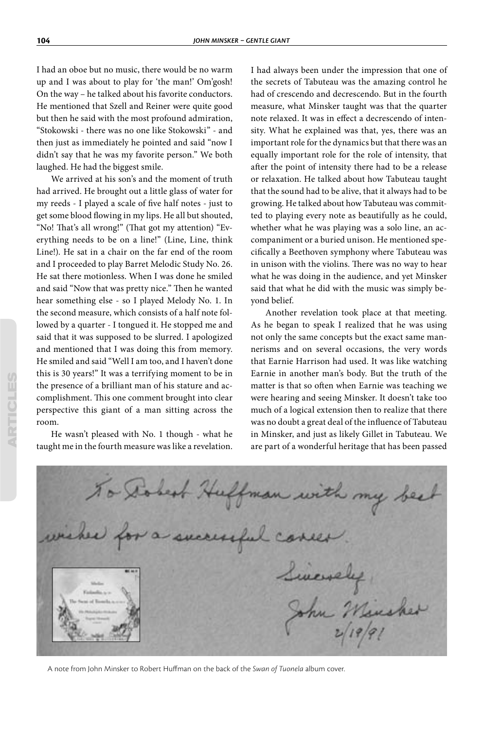I had an oboe but no music, there would be no warm up and I was about to play for 'the man!' Om'gosh! On the way – he talked about his favorite conductors. He mentioned that Szell and Reiner were quite good but then he said with the most profound admiration, "Stokowski - there was no one like Stokowski" - and then just as immediately he pointed and said "now I didn't say that he was my favorite person." We both laughed. He had the biggest smile.

We arrived at his son's and the moment of truth had arrived. He brought out a little glass of water for my reeds - I played a scale of five half notes - just to get some blood flowing in my lips. He all but shouted, "No! That's all wrong!" (That got my attention) "Everything needs to be on a line!" (Line, Line, think Line!). He sat in a chair on the far end of the room and I proceeded to play Barret Melodic Study No. 26. He sat there motionless. When I was done he smiled and said "Now that was pretty nice." Then he wanted hear something else - so I played Melody No. 1. In the second measure, which consists of a half note followed by a quarter - I tongued it. He stopped me and said that it was supposed to be slurred. I apologized and mentioned that I was doing this from memory. He smiled and said "Well I am too, and I haven't done this is 30 years!" It was a terrifying moment to be in the presence of a brilliant man of his stature and accomplishment. This one comment brought into clear perspective this giant of a man sitting across the room.

He wasn't pleased with No. 1 though - what he taught me in the fourth measure was like a revelation.

I had always been under the impression that one of the secrets of Tabuteau was the amazing control he had of crescendo and decrescendo. But in the fourth measure, what Minsker taught was that the quarter note relaxed. It was in effect a decrescendo of intensity. What he explained was that, yes, there was an important role for the dynamics but that there was an equally important role for the role of intensity, that after the point of intensity there had to be a release or relaxation. He talked about how Tabuteau taught that the sound had to be alive, that it always had to be growing. He talked about how Tabuteau was committed to playing every note as beautifully as he could, whether what he was playing was a solo line, an accompaniment or a buried unison. He mentioned specifically a Beethoven symphony where Tabuteau was in unison with the violins. There was no way to hear what he was doing in the audience, and yet Minsker said that what he did with the music was simply beyond belief.

Another revelation took place at that meeting. As he began to speak I realized that he was using not only the same concepts but the exact same mannerisms and on several occasions, the very words that Earnie Harrison had used. It was like watching Earnie in another man's body. But the truth of the matter is that so often when Earnie was teaching we were hearing and seeing Minsker. It doesn't take too much of a logical extension then to realize that there was no doubt a great deal of the influence of Tabuteau in Minsker, and just as likely Gillet in Tabuteau. We are part of a wonderful heritage that has been passed

To Dobest Huffman with my bee wished for a successful concer Liversely John Minches

A note from John Minsker to Robert Huffman on the back of the Swan of Tuonela album cover.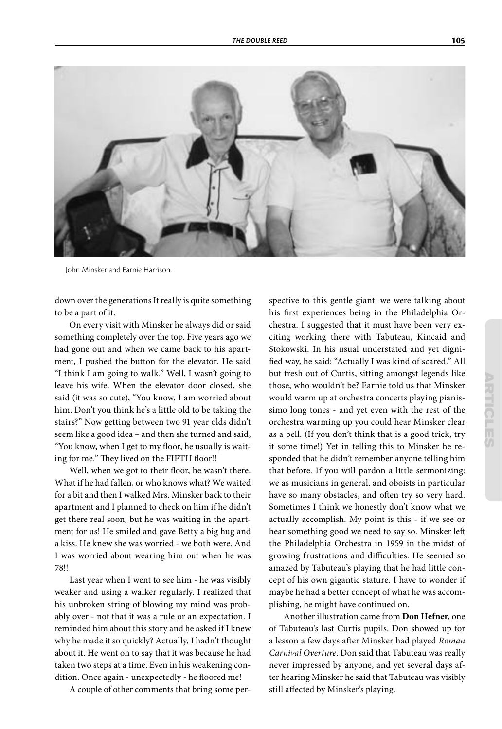

John Minsker and Earnie Harrison.

down over the generations It really is quite something to be a part of it.

On every visit with Minsker he always did or said something completely over the top. Five years ago we had gone out and when we came back to his apartment, I pushed the button for the elevator. He said "I think I am going to walk." Well, I wasn't going to leave his wife. When the elevator door closed, she said (it was so cute), "You know, I am worried about him. Don't you think he's a little old to be taking the stairs?" Now getting between two 91 year olds didn't seem like a good idea – and then she turned and said, "You know, when I get to my floor, he usually is waiting for me." They lived on the FIFTH floor!!

Well, when we got to their floor, he wasn't there. What if he had fallen, or who knows what? We waited for a bit and then I walked Mrs. Minsker back to their apartment and I planned to check on him if he didn't get there real soon, but he was waiting in the apartment for us! He smiled and gave Betty a big hug and a kiss. He knew she was worried - we both were. And I was worried about wearing him out when he was 78!!

Last year when I went to see him - he was visibly weaker and using a walker regularly. I realized that his unbroken string of blowing my mind was probably over - not that it was a rule or an expectation. I reminded him about this story and he asked if I knew why he made it so quickly? Actually, I hadn't thought about it. He went on to say that it was because he had taken two steps at a time. Even in his weakening condition. Once again - unexpectedly - he floored me!

A couple of other comments that bring some per-

spective to this gentle giant: we were talking about his first experiences being in the Philadelphia Orchestra. I suggested that it must have been very exciting working there with Tabuteau, Kincaid and Stokowski. In his usual understated and yet digni fied way, he said: "Actually I was kind of scared." All but fresh out of Curtis, sitting amongst legends like those, who wouldn't be? Earnie told us that Minsker would warm up at orchestra concerts playing pianissimo long tones - and yet even with the rest of the orchestra warming up you could hear Minsker clear as a bell. (If you don't think that is a good trick, try it some time!) Yet in telling this to Minsker he responded that he didn't remember anyone telling him that before. If you will pardon a little sermonizing: we as musicians in general, and oboists in particular have so many obstacles, and often try so very hard. Sometimes I think we honestly don't know what we actually accomplish. My point is this - if we see or hear something good we need to say so. Minsker left the Philadelphia Orchestra in 1959 in the midst of growing frustrations and difficulties. He seemed so amazed by Tabuteau's playing that he had little concept of his own gigantic stature. I have to wonder if maybe he had a better concept of what he was accomplishing, he might have continued on.

Another illustration came from **Don Hefner**, one of Tabuteau's last Curtis pupils. Don showed up for a lesson a few days after Minsker had played Roman Carnival Overture. Don said that Tabuteau was really never impressed by anyone, and yet several days after hearing Minsker he said that Tabuteau was visibly still affected by Minsker's playing.